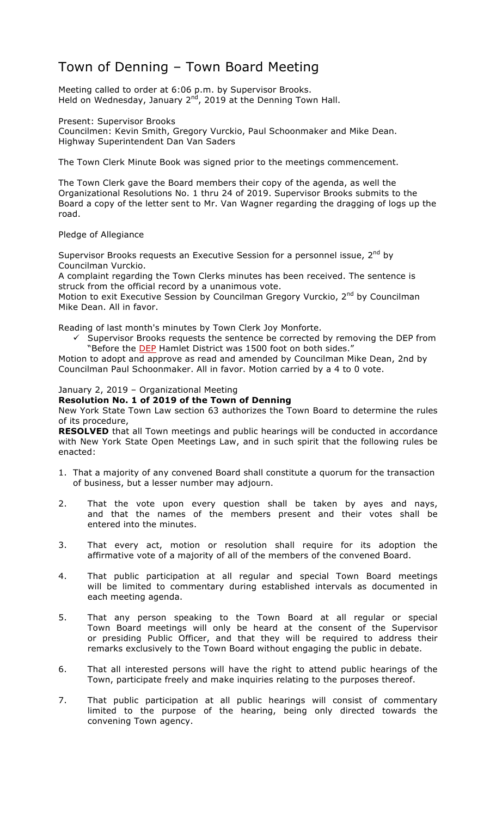# Town of Denning – Town Board Meeting

Meeting called to order at 6:06 p.m. by Supervisor Brooks. Held on Wednesday, January  $2<sup>nd</sup>$ , 2019 at the Denning Town Hall.

Present: Supervisor Brooks Councilmen: Kevin Smith, Gregory Vurckio, Paul Schoonmaker and Mike Dean. Highway Superintendent Dan Van Saders

The Town Clerk Minute Book was signed prior to the meetings commencement.

The Town Clerk gave the Board members their copy of the agenda, as well the Organizational Resolutions No. 1 thru 24 of 2019. Supervisor Brooks submits to the Board a copy of the letter sent to Mr. Van Wagner regarding the dragging of logs up the road.

Pledge of Allegiance

Supervisor Brooks requests an Executive Session for a personnel issue, 2<sup>nd</sup> by Councilman Vurckio.

A complaint regarding the Town Clerks minutes has been received. The sentence is struck from the official record by a unanimous vote.

Motion to exit Executive Session by Councilman Gregory Vurckio, 2<sup>nd</sup> by Councilman Mike Dean. All in favor.

Reading of last month's minutes by Town Clerk Joy Monforte.

 $\checkmark$  Supervisor Brooks requests the sentence be corrected by removing the DEP from "Before the **DEP** Hamlet District was 1500 foot on both sides."

Motion to adopt and approve as read and amended by Councilman Mike Dean, 2nd by Councilman Paul Schoonmaker. All in favor. Motion carried by a 4 to 0 vote.

## January 2, 2019 – Organizational Meeting

## **Resolution No. 1 of 2019 of the Town of Denning**

New York State Town Law section 63 authorizes the Town Board to determine the rules of its procedure,

**RESOLVED** that all Town meetings and public hearings will be conducted in accordance with New York State Open Meetings Law, and in such spirit that the following rules be enacted:

- 1. That a majority of any convened Board shall constitute a quorum for the transaction of business, but a lesser number may adjourn.
- 2. That the vote upon every question shall be taken by ayes and nays, and that the names of the members present and their votes shall be entered into the minutes.
- 3. That every act, motion or resolution shall require for its adoption the affirmative vote of a majority of all of the members of the convened Board.
- 4. That public participation at all regular and special Town Board meetings will be limited to commentary during established intervals as documented in each meeting agenda.
- 5. That any person speaking to the Town Board at all regular or special Town Board meetings will only be heard at the consent of the Supervisor or presiding Public Officer, and that they will be required to address their remarks exclusively to the Town Board without engaging the public in debate.
- 6. That all interested persons will have the right to attend public hearings of the Town, participate freely and make inquiries relating to the purposes thereof.
- 7. That public participation at all public hearings will consist of commentary limited to the purpose of the hearing, being only directed towards the convening Town agency.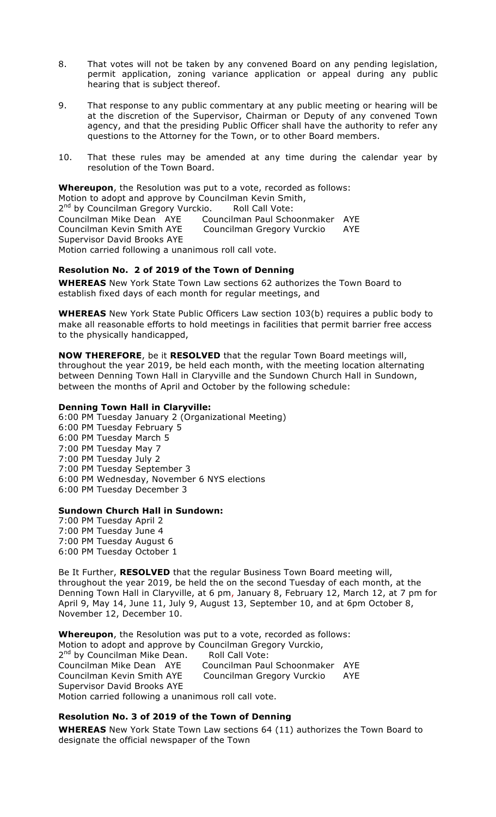- 8. That votes will not be taken by any convened Board on any pending legislation, permit application, zoning variance application or appeal during any public hearing that is subject thereof.
- 9. That response to any public commentary at any public meeting or hearing will be at the discretion of the Supervisor, Chairman or Deputy of any convened Town agency, and that the presiding Public Officer shall have the authority to refer any questions to the Attorney for the Town, or to other Board members.
- 10. That these rules may be amended at any time during the calendar year by resolution of the Town Board.

**Whereupon**, the Resolution was put to a vote, recorded as follows:

Motion to adopt and approve by Councilman Kevin Smith,

2<sup>nd</sup> by Councilman Gregory Vurckio. Roll Call Vote:<br>Councilman Mike Dean AYE Councilman Paul Scho

Councilman Mike Dean AYE Councilman Paul Schoonmaker AYE Councilman Gregory Vurckio AYE Supervisor David Brooks AYE

Motion carried following a unanimous roll call vote.

## **Resolution No. 2 of 2019 of the Town of Denning**

**WHEREAS** New York State Town Law sections 62 authorizes the Town Board to establish fixed days of each month for regular meetings, and

**WHEREAS** New York State Public Officers Law section 103(b) requires a public body to make all reasonable efforts to hold meetings in facilities that permit barrier free access to the physically handicapped,

**NOW THEREFORE**, be it **RESOLVED** that the regular Town Board meetings will, throughout the year 2019, be held each month, with the meeting location alternating between Denning Town Hall in Claryville and the Sundown Church Hall in Sundown, between the months of April and October by the following schedule:

## **Denning Town Hall in Claryville:**

6:00 PM Tuesday January 2 (Organizational Meeting) 6:00 PM Tuesday February 5 6:00 PM Tuesday March 5 7:00 PM Tuesday May 7 7:00 PM Tuesday July 2 7:00 PM Tuesday September 3 6:00 PM Wednesday, November 6 NYS elections 6:00 PM Tuesday December 3

## **Sundown Church Hall in Sundown:**

7:00 PM Tuesday April 2 7:00 PM Tuesday June 4 7:00 PM Tuesday August 6 6:00 PM Tuesday October 1

Be It Further, **RESOLVED** that the regular Business Town Board meeting will, throughout the year 2019, be held the on the second Tuesday of each month, at the Denning Town Hall in Claryville, at 6 pm, January 8, February 12, March 12, at 7 pm for April 9, May 14, June 11, July 9, August 13, September 10, and at 6pm October 8, November 12, December 10.

**Whereupon**, the Resolution was put to a vote, recorded as follows: Motion to adopt and approve by Councilman Gregory Vurckio, 2<sup>nd</sup> by Councilman Mike Dean. Roll Call Vote:<br>Councilman Mike Dean AYE Councilman Pau Councilman Paul Schoonmaker AYE Councilman Kevin Smith AYE Councilman Gregory Vurckio AYE Supervisor David Brooks AYE Motion carried following a unanimous roll call vote.

## **Resolution No. 3 of 2019 of the Town of Denning**

**WHEREAS** New York State Town Law sections 64 (11) authorizes the Town Board to designate the official newspaper of the Town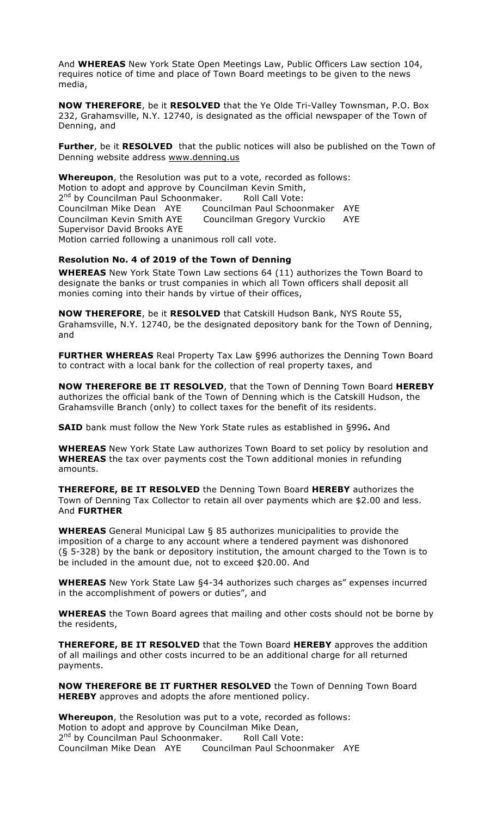And **WHEREAS** New York State Open Meetings Law, Public Officers Law section 104, requires notice of time and place of Town Board meetings to be given to the news media,

**NOW THEREFORE**, be it **RESOLVED** that the Ye Olde Tri-Valley Townsman, P.O. Box 232, Grahamsville, N.Y. 12740, is designated as the official newspaper of the Town of Denning, and

**Further**, be it **RESOLVED** that the public notices will also be published on the Town of Denning website address www.denning.us

**Whereupon**, the Resolution was put to a vote, recorded as follows: Motion to adopt and approve by Councilman Kevin Smith, 2<sup>nd</sup> by Councilman Paul Schoonmaker. Roll Call Vote: Councilman Mike Dean AYE Councilman Paul Schoonmaker AYE Councilman Kevin Smith AYE Councilman Gregory Vurckio AYE Supervisor David Brooks AYE Motion carried following a unanimous roll call vote.

## **Resolution No. 4 of 2019 of the Town of Denning**

**WHEREAS** New York State Town Law sections 64 (11) authorizes the Town Board to designate the banks or trust companies in which all Town officers shall deposit all monies coming into their hands by virtue of their offices,

**NOW THEREFORE**, be it **RESOLVED** that Catskill Hudson Bank, NYS Route 55, Grahamsville, N.Y. 12740, be the designated depository bank for the Town of Denning, and

**FURTHER WHEREAS** Real Property Tax Law §996 authorizes the Denning Town Board to contract with a local bank for the collection of real property taxes, and

**NOW THEREFORE BE IT RESOLVED**, that the Town of Denning Town Board **HEREBY** authorizes the official bank of the Town of Denning which is the Catskill Hudson, the Grahamsville Branch (only) to collect taxes for the benefit of its residents.

**SAID** bank must follow the New York State rules as established in §996**.** And

**WHEREAS** New York State Law authorizes Town Board to set policy by resolution and **WHEREAS** the tax over payments cost the Town additional monies in refunding amounts.

**THEREFORE, BE IT RESOLVED** the Denning Town Board **HEREBY** authorizes the Town of Denning Tax Collector to retain all over payments which are \$2.00 and less. And **FURTHER**

**WHEREAS** General Municipal Law § 85 authorizes municipalities to provide the imposition of a charge to any account where a tendered payment was dishonored (§ 5-328) by the bank or depository institution, the amount charged to the Town is to be included in the amount due, not to exceed \$20.00. And

**WHEREAS** New York State Law §4-34 authorizes such charges as" expenses incurred in the accomplishment of powers or duties", and

**WHEREAS** the Town Board agrees that mailing and other costs should not be borne by the residents,

**THEREFORE, BE IT RESOLVED** that the Town Board **HEREBY** approves the addition of all mailings and other costs incurred to be an additional charge for all returned payments.

**NOW THEREFORE BE IT FURTHER RESOLVED** the Town of Denning Town Board **HEREBY** approves and adopts the afore mentioned policy.

**Whereupon**, the Resolution was put to a vote, recorded as follows: Motion to adopt and approve by Councilman Mike Dean, 2<sup>nd</sup> by Councilman Paul Schoonmaker. Roll Call Vote: Councilman Mike Dean AYE Councilman Paul Schoonmaker AYE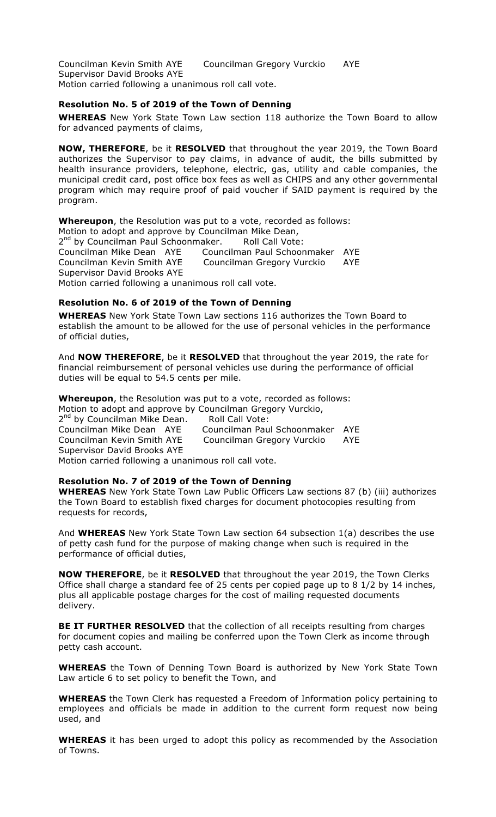Councilman Kevin Smith AYE Councilman Gregory Vurckio AYE Supervisor David Brooks AYE Motion carried following a unanimous roll call vote.

## **Resolution No. 5 of 2019 of the Town of Denning**

**WHEREAS** New York State Town Law section 118 authorize the Town Board to allow for advanced payments of claims,

**NOW, THEREFORE**, be it **RESOLVED** that throughout the year 2019, the Town Board authorizes the Supervisor to pay claims, in advance of audit, the bills submitted by health insurance providers, telephone, electric, gas, utility and cable companies, the municipal credit card, post office box fees as well as CHIPS and any other governmental program which may require proof of paid voucher if SAID payment is required by the program.

**Whereupon**, the Resolution was put to a vote, recorded as follows: Motion to adopt and approve by Councilman Mike Dean, 2<sup>nd</sup> by Councilman Paul Schoonmaker. Roll Call Vote: Councilman Mike Dean AYE Councilman Paul Schoonmaker AYE Councilman Kevin Smith AYE Councilman Gregory Vurckio AYE Supervisor David Brooks AYE Motion carried following a unanimous roll call vote.

## **Resolution No. 6 of 2019 of the Town of Denning**

**WHEREAS** New York State Town Law sections 116 authorizes the Town Board to establish the amount to be allowed for the use of personal vehicles in the performance of official duties,

And **NOW THEREFORE**, be it **RESOLVED** that throughout the year 2019, the rate for financial reimbursement of personal vehicles use during the performance of official duties will be equal to 54.5 cents per mile.

**Whereupon**, the Resolution was put to a vote, recorded as follows:

Motion to adopt and approve by Councilman Gregory Vurckio, 2<sup>nd</sup> by Councilman Mike Dean. Roll Call Vote: Councilman Mike Dean AYE Councilman Paul Schoonmaker AYE Councilman Gregory Vurckio AYE Supervisor David Brooks AYE Motion carried following a unanimous roll call vote.

#### **Resolution No. 7 of 2019 of the Town of Denning**

**WHEREAS** New York State Town Law Public Officers Law sections 87 (b) (iii) authorizes the Town Board to establish fixed charges for document photocopies resulting from requests for records,

And **WHEREAS** New York State Town Law section 64 subsection 1(a) describes the use of petty cash fund for the purpose of making change when such is required in the performance of official duties,

**NOW THEREFORE**, be it **RESOLVED** that throughout the year 2019, the Town Clerks Office shall charge a standard fee of 25 cents per copied page up to 8 1/2 by 14 inches, plus all applicable postage charges for the cost of mailing requested documents delivery.

**BE IT FURTHER RESOLVED** that the collection of all receipts resulting from charges for document copies and mailing be conferred upon the Town Clerk as income through petty cash account.

**WHEREAS** the Town of Denning Town Board is authorized by New York State Town Law article 6 to set policy to benefit the Town, and

**WHEREAS** the Town Clerk has requested a Freedom of Information policy pertaining to employees and officials be made in addition to the current form request now being used, and

**WHEREAS** it has been urged to adopt this policy as recommended by the Association of Towns.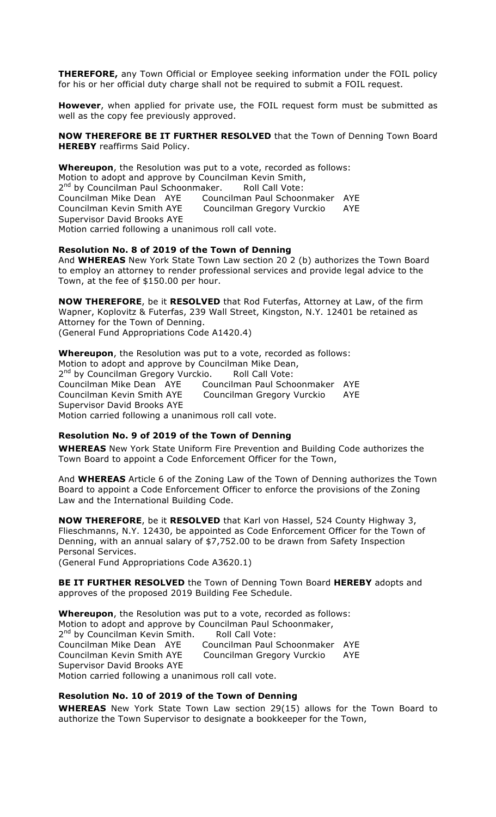**THEREFORE,** any Town Official or Employee seeking information under the FOIL policy for his or her official duty charge shall not be required to submit a FOIL request.

**However**, when applied for private use, the FOIL request form must be submitted as well as the copy fee previously approved.

**NOW THEREFORE BE IT FURTHER RESOLVED** that the Town of Denning Town Board **HEREBY** reaffirms Said Policy.

**Whereupon**, the Resolution was put to a vote, recorded as follows: Motion to adopt and approve by Councilman Kevin Smith, 2<sup>nd</sup> by Councilman Paul Schoonmaker. Roll Call Vote: Councilman Mike Dean AYE Councilman Paul Schoonmaker AYE Councilman Kevin Smith AYE Councilman Gregory Vurckio AYE Supervisor David Brooks AYE Motion carried following a unanimous roll call vote.

#### **Resolution No. 8 of 2019 of the Town of Denning**

And **WHEREAS** New York State Town Law section 20 2 (b) authorizes the Town Board to employ an attorney to render professional services and provide legal advice to the Town, at the fee of \$150.00 per hour.

**NOW THEREFORE**, be it **RESOLVED** that Rod Futerfas, Attorney at Law, of the firm Wapner, Koplovitz & Futerfas, 239 Wall Street, Kingston, N.Y. 12401 be retained as Attorney for the Town of Denning. (General Fund Appropriations Code A1420.4)

**Whereupon**, the Resolution was put to a vote, recorded as follows: Motion to adopt and approve by Councilman Mike Dean, 2<sup>nd</sup> by Councilman Gregory Vurckio. Roll Call Vote: Councilman Mike Dean AYE Councilman Paul Schoonmaker AYE Councilman Kevin Smith AYE Councilman Gregory Vurckio AYE Supervisor David Brooks AYE Motion carried following a unanimous roll call vote.

#### **Resolution No. 9 of 2019 of the Town of Denning**

**WHEREAS** New York State Uniform Fire Prevention and Building Code authorizes the Town Board to appoint a Code Enforcement Officer for the Town,

And **WHEREAS** Article 6 of the Zoning Law of the Town of Denning authorizes the Town Board to appoint a Code Enforcement Officer to enforce the provisions of the Zoning Law and the International Building Code.

**NOW THEREFORE**, be it **RESOLVED** that Karl von Hassel, 524 County Highway 3, Flieschmanns, N.Y. 12430, be appointed as Code Enforcement Officer for the Town of Denning, with an annual salary of \$7,752.00 to be drawn from Safety Inspection Personal Services.

(General Fund Appropriations Code A3620.1)

**BE IT FURTHER RESOLVED** the Town of Denning Town Board **HEREBY** adopts and approves of the proposed 2019 Building Fee Schedule.

**Whereupon**, the Resolution was put to a vote, recorded as follows: Motion to adopt and approve by Councilman Paul Schoonmaker, 2<sup>nd</sup> by Councilman Kevin Smith. Roll Call Vote: Councilman Mike Dean AYE Councilman Paul Schoonmaker AYE Councilman Kevin Smith AYE Councilman Gregory Vurckio AYE Supervisor David Brooks AYE Motion carried following a unanimous roll call vote.

#### **Resolution No. 10 of 2019 of the Town of Denning**

**WHEREAS** New York State Town Law section 29(15) allows for the Town Board to authorize the Town Supervisor to designate a bookkeeper for the Town,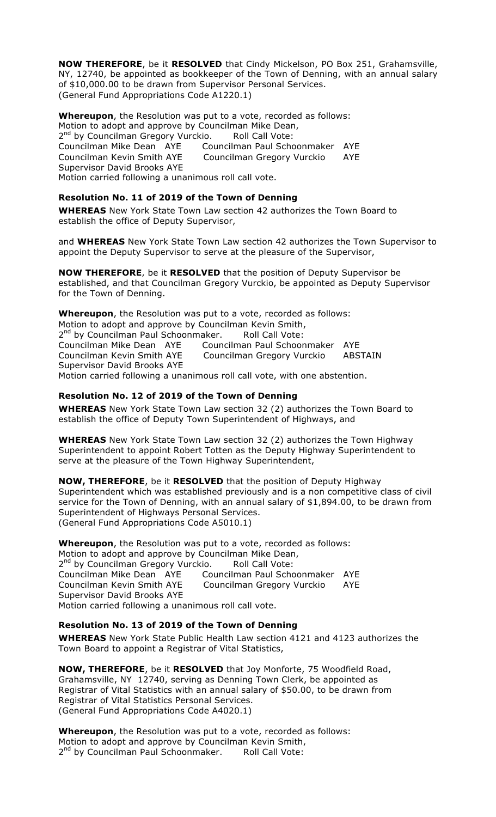**NOW THEREFORE**, be it **RESOLVED** that Cindy Mickelson, PO Box 251, Grahamsville, NY, 12740, be appointed as bookkeeper of the Town of Denning, with an annual salary of \$10,000.00 to be drawn from Supervisor Personal Services. (General Fund Appropriations Code A1220.1)

**Whereupon**, the Resolution was put to a vote, recorded as follows: Motion to adopt and approve by Councilman Mike Dean, 2<sup>nd</sup> by Councilman Gregory Vurckio. Roll Call Vote: Councilman Mike Dean AYE Councilman Paul Schoonmaker AYE Councilman Kevin Smith AYE Councilman Gregory Vurckio AYE Supervisor David Brooks AYE Motion carried following a unanimous roll call vote.

## **Resolution No. 11 of 2019 of the Town of Denning**

**WHEREAS** New York State Town Law section 42 authorizes the Town Board to establish the office of Deputy Supervisor,

and **WHEREAS** New York State Town Law section 42 authorizes the Town Supervisor to appoint the Deputy Supervisor to serve at the pleasure of the Supervisor,

**NOW THEREFORE**, be it **RESOLVED** that the position of Deputy Supervisor be established, and that Councilman Gregory Vurckio, be appointed as Deputy Supervisor for the Town of Denning.

**Whereupon**, the Resolution was put to a vote, recorded as follows: Motion to adopt and approve by Councilman Kevin Smith, 2<sup>nd</sup> by Councilman Paul Schoonmaker. Roll Call Vote: Councilman Mike Dean AYE Councilman Paul Schoonmaker AYE Councilman Kevin Smith AYE Councilman Gregory Vurckio ABSTAIN Supervisor David Brooks AYE Motion carried following a unanimous roll call vote, with one abstention.

## **Resolution No. 12 of 2019 of the Town of Denning**

**WHEREAS** New York State Town Law section 32 (2) authorizes the Town Board to establish the office of Deputy Town Superintendent of Highways, and

**WHEREAS** New York State Town Law section 32 (2) authorizes the Town Highway Superintendent to appoint Robert Totten as the Deputy Highway Superintendent to serve at the pleasure of the Town Highway Superintendent,

## **NOW, THEREFORE**, be it **RESOLVED** that the position of Deputy Highway Superintendent which was established previously and is a non competitive class of civil

service for the Town of Denning, with an annual salary of \$1,894.00, to be drawn from Superintendent of Highways Personal Services. (General Fund Appropriations Code A5010.1)

**Whereupon**, the Resolution was put to a vote, recorded as follows: Motion to adopt and approve by Councilman Mike Dean, 2<sup>nd</sup> by Councilman Gregory Vurckio. Roll Call Vote: Councilman Mike Dean AYE Councilman Paul Schoonmaker AYE Councilman Kevin Smith AYE Councilman Gregory Vurckio AYE Supervisor David Brooks AYE Motion carried following a unanimous roll call vote.

#### **Resolution No. 13 of 2019 of the Town of Denning**

**WHEREAS** New York State Public Health Law section 4121 and 4123 authorizes the Town Board to appoint a Registrar of Vital Statistics,

**NOW, THEREFORE**, be it **RESOLVED** that Joy Monforte, 75 Woodfield Road, Grahamsville, NY 12740, serving as Denning Town Clerk, be appointed as Registrar of Vital Statistics with an annual salary of \$50.00, to be drawn from Registrar of Vital Statistics Personal Services. (General Fund Appropriations Code A4020.1)

**Whereupon**, the Resolution was put to a vote, recorded as follows: Motion to adopt and approve by Councilman Kevin Smith, 2<sup>nd</sup> by Councilman Paul Schoonmaker. Roll Call Vote: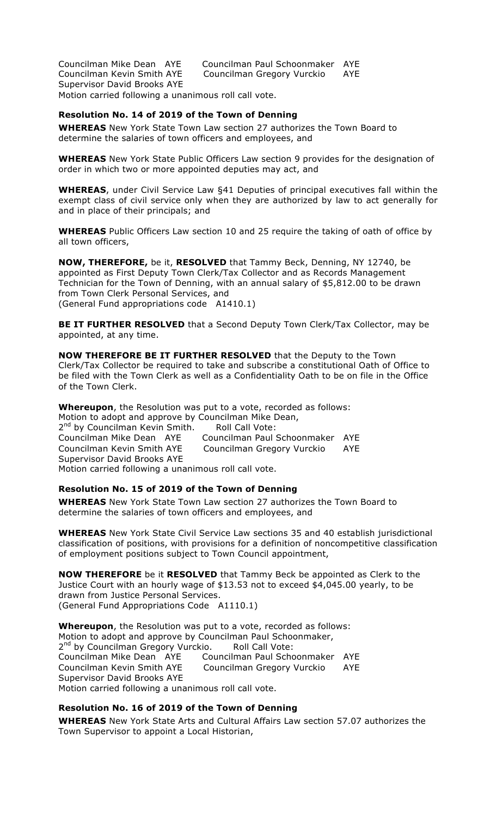Councilman Mike Dean AYE Councilman Paul Schoonmaker AYE Councilman Kevin Smith AYE Councilman Gregory Vurckio AYE Supervisor David Brooks AYE Motion carried following a unanimous roll call vote.

## **Resolution No. 14 of 2019 of the Town of Denning**

**WHEREAS** New York State Town Law section 27 authorizes the Town Board to determine the salaries of town officers and employees, and

**WHEREAS** New York State Public Officers Law section 9 provides for the designation of order in which two or more appointed deputies may act, and

**WHEREAS**, under Civil Service Law §41 Deputies of principal executives fall within the exempt class of civil service only when they are authorized by law to act generally for and in place of their principals; and

**WHEREAS** Public Officers Law section 10 and 25 require the taking of oath of office by all town officers,

**NOW, THEREFORE,** be it, **RESOLVED** that Tammy Beck, Denning, NY 12740, be appointed as First Deputy Town Clerk/Tax Collector and as Records Management Technician for the Town of Denning, with an annual salary of \$5,812.00 to be drawn from Town Clerk Personal Services, and (General Fund appropriations code A1410.1)

**BE IT FURTHER RESOLVED** that a Second Deputy Town Clerk/Tax Collector, may be appointed, at any time.

**NOW THEREFORE BE IT FURTHER RESOLVED** that the Deputy to the Town Clerk/Tax Collector be required to take and subscribe a constitutional Oath of Office to be filed with the Town Clerk as well as a Confidentiality Oath to be on file in the Office of the Town Clerk.

**Whereupon**, the Resolution was put to a vote, recorded as follows: Motion to adopt and approve by Councilman Mike Dean, 2<sup>nd</sup> by Councilman Kevin Smith. Roll Call Vote: Councilman Mike Dean AYE Councilman Paul Schoonmaker AYE Councilman Kevin Smith AYE Councilman Gregory Vurckio AYE Supervisor David Brooks AYE Motion carried following a unanimous roll call vote.

## **Resolution No. 15 of 2019 of the Town of Denning**

**WHEREAS** New York State Town Law section 27 authorizes the Town Board to determine the salaries of town officers and employees, and

**WHEREAS** New York State Civil Service Law sections 35 and 40 establish jurisdictional classification of positions, with provisions for a definition of noncompetitive classification of employment positions subject to Town Council appointment,

**NOW THEREFORE** be it **RESOLVED** that Tammy Beck be appointed as Clerk to the Justice Court with an hourly wage of \$13.53 not to exceed \$4,045.00 yearly, to be drawn from Justice Personal Services. (General Fund Appropriations Code A1110.1)

**Whereupon**, the Resolution was put to a vote, recorded as follows: Motion to adopt and approve by Councilman Paul Schoonmaker, 2<sup>nd</sup> by Councilman Gregory Vurckio. Roll Call Vote: Councilman Mike Dean AYE Councilman Paul Schoonmaker AYE Councilman Kevin Smith AYE Councilman Gregory Vurckio AYE Supervisor David Brooks AYE Motion carried following a unanimous roll call vote.

## **Resolution No. 16 of 2019 of the Town of Denning**

**WHEREAS** New York State Arts and Cultural Affairs Law section 57.07 authorizes the Town Supervisor to appoint a Local Historian,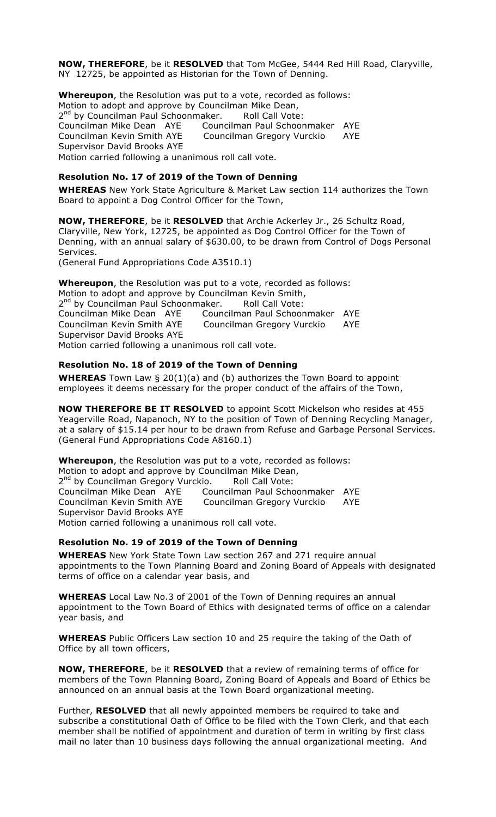**NOW, THEREFORE**, be it **RESOLVED** that Tom McGee, 5444 Red Hill Road, Claryville, NY 12725, be appointed as Historian for the Town of Denning.

**Whereupon**, the Resolution was put to a vote, recorded as follows: Motion to adopt and approve by Councilman Mike Dean, 2<sup>nd</sup> by Councilman Paul Schoonmaker. Roll Call Vote: Councilman Mike Dean AYE Councilman Paul Schoonmaker AYE Councilman Kevin Smith AYE Councilman Gregory Vurckio AYE Supervisor David Brooks AYE Motion carried following a unanimous roll call vote.

#### **Resolution No. 17 of 2019 of the Town of Denning**

**WHEREAS** New York State Agriculture & Market Law section 114 authorizes the Town Board to appoint a Dog Control Officer for the Town,

**NOW, THEREFORE**, be it **RESOLVED** that Archie Ackerley Jr., 26 Schultz Road, Claryville, New York, 12725, be appointed as Dog Control Officer for the Town of Denning, with an annual salary of \$630.00, to be drawn from Control of Dogs Personal Services.

(General Fund Appropriations Code A3510.1)

**Whereupon**, the Resolution was put to a vote, recorded as follows: Motion to adopt and approve by Councilman Kevin Smith, 2<sup>nd</sup> by Councilman Paul Schoonmaker. Roll Call Vote: Councilman Mike Dean AYE Councilman Paul Schoonmaker AYE Councilman Kevin Smith AYE Councilman Gregory Vurckio AYE Supervisor David Brooks AYE Motion carried following a unanimous roll call vote.

## **Resolution No. 18 of 2019 of the Town of Denning**

**WHEREAS** Town Law § 20(1)(a) and (b) authorizes the Town Board to appoint employees it deems necessary for the proper conduct of the affairs of the Town,

**NOW THEREFORE BE IT RESOLVED** to appoint Scott Mickelson who resides at 455 Yeagerville Road, Napanoch, NY to the position of Town of Denning Recycling Manager, at a salary of \$15.14 per hour to be drawn from Refuse and Garbage Personal Services. (General Fund Appropriations Code A8160.1)

**Whereupon**, the Resolution was put to a vote, recorded as follows: Motion to adopt and approve by Councilman Mike Dean, 2<sup>nd</sup> by Councilman Gregory Vurckio. Roll Call Vote: Councilman Mike Dean AYE Councilman Paul Schoonmaker AYE Councilman Kevin Smith AYE Councilman Gregory Vurckio AYE Supervisor David Brooks AYE Motion carried following a unanimous roll call vote.

#### **Resolution No. 19 of 2019 of the Town of Denning**

**WHEREAS** New York State Town Law section 267 and 271 require annual appointments to the Town Planning Board and Zoning Board of Appeals with designated terms of office on a calendar year basis, and

**WHEREAS** Local Law No.3 of 2001 of the Town of Denning requires an annual appointment to the Town Board of Ethics with designated terms of office on a calendar year basis, and

**WHEREAS** Public Officers Law section 10 and 25 require the taking of the Oath of Office by all town officers,

**NOW, THEREFORE**, be it **RESOLVED** that a review of remaining terms of office for members of the Town Planning Board, Zoning Board of Appeals and Board of Ethics be announced on an annual basis at the Town Board organizational meeting.

Further, **RESOLVED** that all newly appointed members be required to take and subscribe a constitutional Oath of Office to be filed with the Town Clerk, and that each member shall be notified of appointment and duration of term in writing by first class mail no later than 10 business days following the annual organizational meeting. And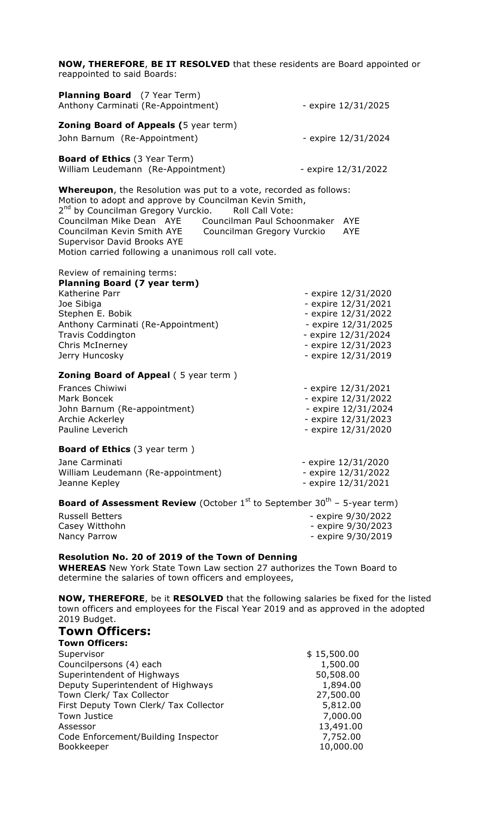**NOW, THEREFORE**, **BE IT RESOLVED** that these residents are Board appointed or reappointed to said Boards:

| <b>Planning Board</b> (7 Year Term)<br>Anthony Carminati (Re-Appointment)                                                                                                                                                                                                                                                                                                                                                     | - expire 12/31/2025                                                                                                                                           |  |
|-------------------------------------------------------------------------------------------------------------------------------------------------------------------------------------------------------------------------------------------------------------------------------------------------------------------------------------------------------------------------------------------------------------------------------|---------------------------------------------------------------------------------------------------------------------------------------------------------------|--|
| <b>Zoning Board of Appeals (5 year term)</b><br>John Barnum (Re-Appointment)                                                                                                                                                                                                                                                                                                                                                  | - expire 12/31/2024                                                                                                                                           |  |
| <b>Board of Ethics</b> (3 Year Term)<br>William Leudemann (Re-Appointment)                                                                                                                                                                                                                                                                                                                                                    | - expire 12/31/2022                                                                                                                                           |  |
| <b>Whereupon</b> , the Resolution was put to a vote, recorded as follows:<br>Motion to adopt and approve by Councilman Kevin Smith,<br>2 <sup>nd</sup> by Councilman Gregory Vurckio.<br>Roll Call Vote:<br>Councilman Mike Dean AYE<br>Councilman Paul Schoonmaker<br>Councilman Kevin Smith AYE<br>Councilman Gregory Vurckio<br><b>Supervisor David Brooks AYE</b><br>Motion carried following a unanimous roll call vote. | AYE<br><b>AYE</b>                                                                                                                                             |  |
| Review of remaining terms:<br><b>Planning Board (7 year term)</b><br>Katherine Parr<br>Joe Sibiga<br>Stephen E. Bobik<br>Anthony Carminati (Re-Appointment)<br><b>Travis Coddington</b><br>Chris McInerney<br>Jerry Huncosky                                                                                                                                                                                                  | - expire 12/31/2020<br>- expire 12/31/2021<br>- expire 12/31/2022<br>- expire 12/31/2025<br>- expire 12/31/2024<br>- expire 12/31/2023<br>- expire 12/31/2019 |  |
| <b>Zoning Board of Appeal (5 year term)</b><br><b>Frances Chiwiwi</b><br>Mark Boncek<br>John Barnum (Re-appointment)<br>Archie Ackerley<br>Pauline Leverich                                                                                                                                                                                                                                                                   | - expire 12/31/2021<br>- expire 12/31/2022<br>- expire 12/31/2024<br>- expire $12/31/2023$<br>- expire 12/31/2020                                             |  |
| <b>Board of Ethics</b> (3 year term)<br>Jane Carminati<br>William Leudemann (Re-appointment)<br>Jeanne Kepley                                                                                                                                                                                                                                                                                                                 | - expire 12/31/2020<br>- expire 12/31/2022<br>- expire 12/31/2021                                                                                             |  |
| <b>Board of Assessment Review</b> (October $1^{st}$ to September 30 <sup>th</sup> - 5-year term)<br><b>Russell Betters</b><br>- expire 9/30/2022                                                                                                                                                                                                                                                                              |                                                                                                                                                               |  |

Casey Witthohn **Casey Witthohn - expire 9/30/2023** Nancy Parrow **Nancy Parrow** - expire 9/30/2019

## **Resolution No. 20 of 2019 of the Town of Denning**

**WHEREAS** New York State Town Law section 27 authorizes the Town Board to determine the salaries of town officers and employees,

**NOW, THEREFORE**, be it **RESOLVED** that the following salaries be fixed for the listed town officers and employees for the Fiscal Year 2019 and as approved in the adopted 2019 Budget.

# **Town Officers:**

| <b>Town Officers:</b>                  |             |
|----------------------------------------|-------------|
| Supervisor                             | \$15,500.00 |
| Councilpersons (4) each                | 1,500.00    |
| Superintendent of Highways             | 50,508.00   |
| Deputy Superintendent of Highways      | 1,894.00    |
| Town Clerk/ Tax Collector              | 27,500.00   |
| First Deputy Town Clerk/ Tax Collector | 5,812.00    |
| Town Justice                           | 7,000.00    |
| Assessor                               | 13,491.00   |
| Code Enforcement/Building Inspector    | 7,752.00    |
| Bookkeeper                             | 10,000.00   |
|                                        |             |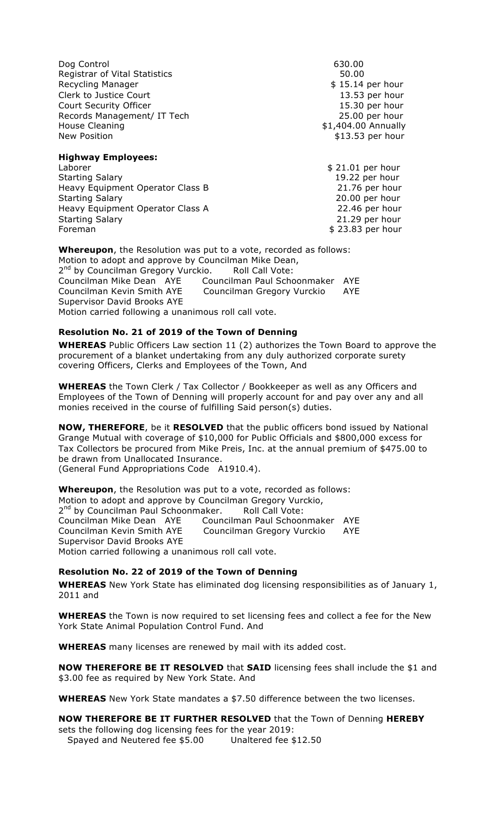| Dog Control                          | 630.00              |
|--------------------------------------|---------------------|
| <b>Registrar of Vital Statistics</b> | 50.00               |
| Recycling Manager                    | $$15.14$ per hour   |
| Clerk to Justice Court               | 13.53 per hour      |
| Court Security Officer               | 15.30 per hour      |
| Records Management/ IT Tech          | 25.00 per hour      |
| House Cleaning                       | \$1,404.00 Annually |
| <b>New Position</b>                  | $$13.53$ per hour   |
| <b>Highway Employees:</b>            |                     |
| Laborer                              | \$21.01 per hour    |
| <b>Starting Salary</b>               | 19.22 per hour      |
| Heavy Equipment Operator Class B     | 21.76 per hour      |
| <b>Starting Salary</b>               | 20.00 per hour      |
| Heavy Equipment Operator Class A     | 22.46 per hour      |
| <b>Starting Salary</b>               | 21.29 per hour      |
| Foreman                              | \$23.83 per hour    |

**Whereupon**, the Resolution was put to a vote, recorded as follows: Motion to adopt and approve by Councilman Mike Dean, 2<sup>nd</sup> by Councilman Gregory Vurckio. Roll Call Vote: Councilman Mike Dean AYE Councilman Paul Schoonmaker AYE Councilman Kevin Smith AYE Councilman Gregory Vurckio AYE Supervisor David Brooks AYE Motion carried following a unanimous roll call vote.

## **Resolution No. 21 of 2019 of the Town of Denning**

**WHEREAS** Public Officers Law section 11 (2) authorizes the Town Board to approve the procurement of a blanket undertaking from any duly authorized corporate surety covering Officers, Clerks and Employees of the Town, And

**WHEREAS** the Town Clerk / Tax Collector / Bookkeeper as well as any Officers and Employees of the Town of Denning will properly account for and pay over any and all monies received in the course of fulfilling Said person(s) duties.

**NOW, THEREFORE**, be it **RESOLVED** that the public officers bond issued by National Grange Mutual with coverage of \$10,000 for Public Officials and \$800,000 excess for Tax Collectors be procured from Mike Preis, Inc. at the annual premium of \$475.00 to be drawn from Unallocated Insurance. (General Fund Appropriations Code A1910.4).

**Whereupon**, the Resolution was put to a vote, recorded as follows: Motion to adopt and approve by Councilman Gregory Vurckio, 2<sup>nd</sup> by Councilman Paul Schoonmaker. Roll Call Vote: Councilman Mike Dean AYE Councilman Paul Schoonmaker AYE Councilman Kevin Smith AYE Councilman Gregory Vurckio AYE Supervisor David Brooks AYE Motion carried following a unanimous roll call vote.

#### **Resolution No. 22 of 2019 of the Town of Denning**

**WHEREAS** New York State has eliminated dog licensing responsibilities as of January 1, 2011 and

**WHEREAS** the Town is now required to set licensing fees and collect a fee for the New York State Animal Population Control Fund. And

**WHEREAS** many licenses are renewed by mail with its added cost.

**NOW THEREFORE BE IT RESOLVED** that **SAID** licensing fees shall include the \$1 and \$3.00 fee as required by New York State. And

**WHEREAS** New York State mandates a \$7.50 difference between the two licenses.

## **NOW THEREFORE BE IT FURTHER RESOLVED** that the Town of Denning **HEREBY**

sets the following dog licensing fees for the year 2019: Spayed and Neutered fee \$5.00 Unaltered fee \$12.50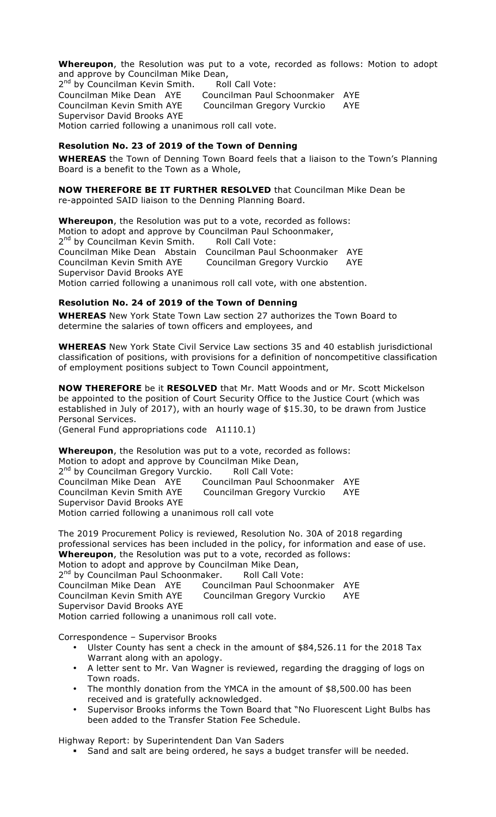**Whereupon**, the Resolution was put to a vote, recorded as follows: Motion to adopt and approve by Councilman Mike Dean,

2<sup>nd</sup> by Councilman Kevin Smith. Roll Call Vote: Councilman Mike Dean AYE Councilman Paul Schoonmaker AYE Councilman Kevin Smith AYE Councilman Gregory Vurckio AYE Supervisor David Brooks AYE Motion carried following a unanimous roll call vote.

## **Resolution No. 23 of 2019 of the Town of Denning**

**WHEREAS** the Town of Denning Town Board feels that a liaison to the Town's Planning Board is a benefit to the Town as a Whole,

**NOW THEREFORE BE IT FURTHER RESOLVED** that Councilman Mike Dean be re-appointed SAID liaison to the Denning Planning Board.

**Whereupon**, the Resolution was put to a vote, recorded as follows: Motion to adopt and approve by Councilman Paul Schoonmaker, 2<sup>nd</sup> by Councilman Kevin Smith. Roll Call Vote: Councilman Mike Dean Abstain Councilman Paul Schoonmaker AYE Councilman Kevin Smith AYE Councilman Gregory Vurckio AYE Supervisor David Brooks AYE Motion carried following a unanimous roll call vote, with one abstention.

## **Resolution No. 24 of 2019 of the Town of Denning**

**WHEREAS** New York State Town Law section 27 authorizes the Town Board to determine the salaries of town officers and employees, and

**WHEREAS** New York State Civil Service Law sections 35 and 40 establish jurisdictional classification of positions, with provisions for a definition of noncompetitive classification of employment positions subject to Town Council appointment,

**NOW THEREFORE** be it **RESOLVED** that Mr. Matt Woods and or Mr. Scott Mickelson be appointed to the position of Court Security Office to the Justice Court (which was established in July of 2017), with an hourly wage of \$15.30, to be drawn from Justice Personal Services.

(General Fund appropriations code A1110.1)

**Whereupon**, the Resolution was put to a vote, recorded as follows: Motion to adopt and approve by Councilman Mike Dean, 2<sup>nd</sup> by Councilman Gregory Vurckio. Roll Call Vote: Councilman Mike Dean AYE Councilman Paul Schoonmaker AYE Councilman Kevin Smith AYE Councilman Gregory Vurckio AYE Supervisor David Brooks AYE Motion carried following a unanimous roll call vote

The 2019 Procurement Policy is reviewed, Resolution No. 30A of 2018 regarding professional services has been included in the policy, for information and ease of use. **Whereupon**, the Resolution was put to a vote, recorded as follows:

Motion to adopt and approve by Councilman Mike Dean,

2<sup>nd</sup> by Councilman Paul Schoonmaker. Roll Call Vote: Councilman Mike Dean AYE Councilman Paul Schoonmaker AYE Councilman Kevin Smith AYE Councilman Gregory Vurckio AYE Supervisor David Brooks AYE Motion carried following a unanimous roll call vote.

Correspondence – Supervisor Brooks

- Ulster County has sent a check in the amount of \$84,526.11 for the 2018 Tax Warrant along with an apology.
- A letter sent to Mr. Van Wagner is reviewed, regarding the dragging of logs on Town roads.
- The monthly donation from the YMCA in the amount of \$8,500.00 has been received and is gratefully acknowledged.
- Supervisor Brooks informs the Town Board that "No Fluorescent Light Bulbs has been added to the Transfer Station Fee Schedule.

Highway Report: by Superintendent Dan Van Saders

" Sand and salt are being ordered, he says a budget transfer will be needed.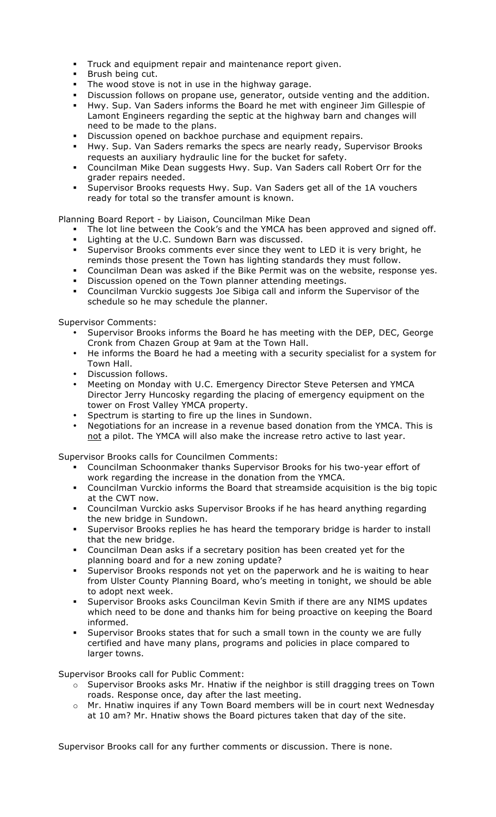- Truck and equipment repair and maintenance report given.
- " Brush being cut.
- The wood stove is not in use in the highway garage.
- " Discussion follows on propane use, generator, outside venting and the addition.
- " Hwy. Sup. Van Saders informs the Board he met with engineer Jim Gillespie of Lamont Engineers regarding the septic at the highway barn and changes will need to be made to the plans.
- Discussion opened on backhoe purchase and equipment repairs.
- " Hwy. Sup. Van Saders remarks the specs are nearly ready, Supervisor Brooks requests an auxiliary hydraulic line for the bucket for safety.
- " Councilman Mike Dean suggests Hwy. Sup. Van Saders call Robert Orr for the grader repairs needed.
- " Supervisor Brooks requests Hwy. Sup. Van Saders get all of the 1A vouchers ready for total so the transfer amount is known.

Planning Board Report - by Liaison, Councilman Mike Dean

- The lot line between the Cook's and the YMCA has been approved and signed off. **EXECT** Lighting at the U.C. Sundown Barn was discussed.
- " Supervisor Brooks comments ever since they went to LED it is very bright, he reminds those present the Town has lighting standards they must follow.
- " Councilman Dean was asked if the Bike Permit was on the website, response yes.
- **•** Discussion opened on the Town planner attending meetings.
- " Councilman Vurckio suggests Joe Sibiga call and inform the Supervisor of the schedule so he may schedule the planner.

Supervisor Comments:

- Supervisor Brooks informs the Board he has meeting with the DEP, DEC, George Cronk from Chazen Group at 9am at the Town Hall.
- He informs the Board he had a meeting with a security specialist for a system for Town Hall.
- Discussion follows.
- Meeting on Monday with U.C. Emergency Director Steve Petersen and YMCA Director Jerry Huncosky regarding the placing of emergency equipment on the tower on Frost Valley YMCA property.
- Spectrum is starting to fire up the lines in Sundown.
- Negotiations for an increase in a revenue based donation from the YMCA. This is not a pilot. The YMCA will also make the increase retro active to last year.

Supervisor Brooks calls for Councilmen Comments:

- " Councilman Schoonmaker thanks Supervisor Brooks for his two-year effort of work regarding the increase in the donation from the YMCA.
- " Councilman Vurckio informs the Board that streamside acquisition is the big topic at the CWT now.
- " Councilman Vurckio asks Supervisor Brooks if he has heard anything regarding the new bridge in Sundown.
- Supervisor Brooks replies he has heard the temporary bridge is harder to install that the new bridge.
- Councilman Dean asks if a secretary position has been created yet for the planning board and for a new zoning update?
- Supervisor Brooks responds not yet on the paperwork and he is waiting to hear from Ulster County Planning Board, who's meeting in tonight, we should be able to adopt next week.
- " Supervisor Brooks asks Councilman Kevin Smith if there are any NIMS updates which need to be done and thanks him for being proactive on keeping the Board informed.
- " Supervisor Brooks states that for such a small town in the county we are fully certified and have many plans, programs and policies in place compared to larger towns.

Supervisor Brooks call for Public Comment:

- o Supervisor Brooks asks Mr. Hnatiw if the neighbor is still dragging trees on Town roads. Response once, day after the last meeting.
- o Mr. Hnatiw inquires if any Town Board members will be in court next Wednesday at 10 am? Mr. Hnatiw shows the Board pictures taken that day of the site.

Supervisor Brooks call for any further comments or discussion. There is none.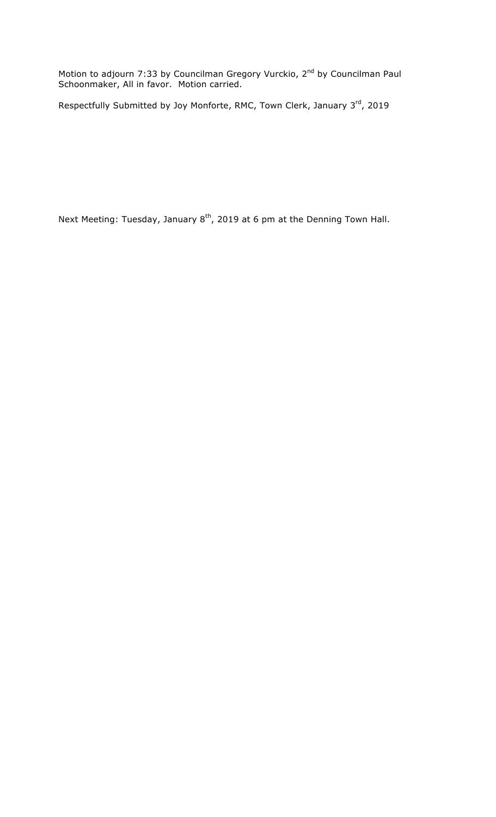Motion to adjourn 7:33 by Councilman Gregory Vurckio, 2<sup>nd</sup> by Councilman Paul Schoonmaker, All in favor. Motion carried.

Respectfully Submitted by Joy Monforte, RMC, Town Clerk, January 3rd, 2019

Next Meeting: Tuesday, January  $8^{th}$ , 2019 at 6 pm at the Denning Town Hall.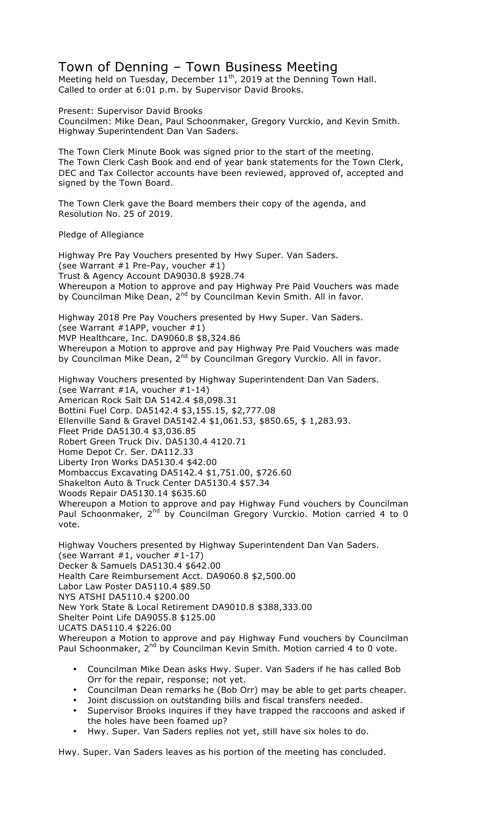## Town of Denning – Town Business Meeting

Meeting held on Tuesday, December  $11<sup>th</sup>$ , 2019 at the Denning Town Hall. Called to order at 6:01 p.m. by Supervisor David Brooks.

Present: Supervisor David Brooks Councilmen: Mike Dean, Paul Schoonmaker, Gregory Vurckio, and Kevin Smith. Highway Superintendent Dan Van Saders.

The Town Clerk Minute Book was signed prior to the start of the meeting. The Town Clerk Cash Book and end of year bank statements for the Town Clerk, DEC and Tax Collector accounts have been reviewed, approved of, accepted and signed by the Town Board.

The Town Clerk gave the Board members their copy of the agenda, and Resolution No. 25 of 2019.

Pledge of Allegiance

Highway Pre Pay Vouchers presented by Hwy Super. Van Saders. (see Warrant  $#1$  Pre-Pay, voucher  $#1$ ) Trust & Agency Account DA9030.8 \$928.74 Whereupon a Motion to approve and pay Highway Pre Paid Vouchers was made by Councilman Mike Dean, 2<sup>nd</sup> by Councilman Kevin Smith. All in favor.

Highway 2018 Pre Pay Vouchers presented by Hwy Super. Van Saders. (see Warrant #1APP, voucher #1) MVP Healthcare, Inc. DA9060.8 \$8,324.86 Whereupon a Motion to approve and pay Highway Pre Paid Vouchers was made by Councilman Mike Dean, 2<sup>nd</sup> by Councilman Gregory Vurckio. All in favor.

Highway Vouchers presented by Highway Superintendent Dan Van Saders. (see Warrant #1A, voucher #1-14) American Rock Salt DA 5142.4 \$8,098.31 Bottini Fuel Corp. DA5142.4 \$3,155.15, \$2,777.08 Ellenville Sand & Gravel DA5142.4 \$1,061.53, \$850.65, \$ 1,283.93. Fleet Pride DA5130.4 \$3,036.85 Robert Green Truck Div. DA5130.4 4120.71 Home Depot Cr. Ser. DA112.33 Liberty Iron Works DA5130.4 \$42.00 Mombaccus Excavating DA5142.4 \$1,751.00, \$726.60 Shakelton Auto & Truck Center DA5130.4 \$57.34 Woods Repair DA5130.14 \$635.60 Whereupon a Motion to approve and pay Highway Fund vouchers by Councilman Paul Schoonmaker, 2<sup>nd</sup> by Councilman Gregory Vurckio. Motion carried 4 to 0 vote.

Highway Vouchers presented by Highway Superintendent Dan Van Saders. (see Warrant #1, voucher #1-17) Decker & Samuels DA5130.4 \$642.00 Health Care Reimbursement Acct. DA9060.8 \$2,500.00 Labor Law Poster DA5110.4 \$89.50 NYS ATSHI DA5110.4 \$200.00 New York State & Local Retirement DA9010.8 \$388,333.00 Shelter Point Life DA9055.8 \$125.00 UCATS DA5110.4 \$226.00 Whereupon a Motion to approve and pay Highway Fund vouchers by Councilman Paul Schoonmaker, 2<sup>nd</sup> by Councilman Kevin Smith. Motion carried 4 to 0 vote.

- Councilman Mike Dean asks Hwy. Super. Van Saders if he has called Bob Orr for the repair, response; not yet.
- Councilman Dean remarks he (Bob Orr) may be able to get parts cheaper.
- Joint discussion on outstanding bills and fiscal transfers needed.
- Supervisor Brooks inquires if they have trapped the raccoons and asked if the holes have been foamed up?
- Hwy. Super. Van Saders replies not yet, still have six holes to do.

Hwy. Super. Van Saders leaves as his portion of the meeting has concluded.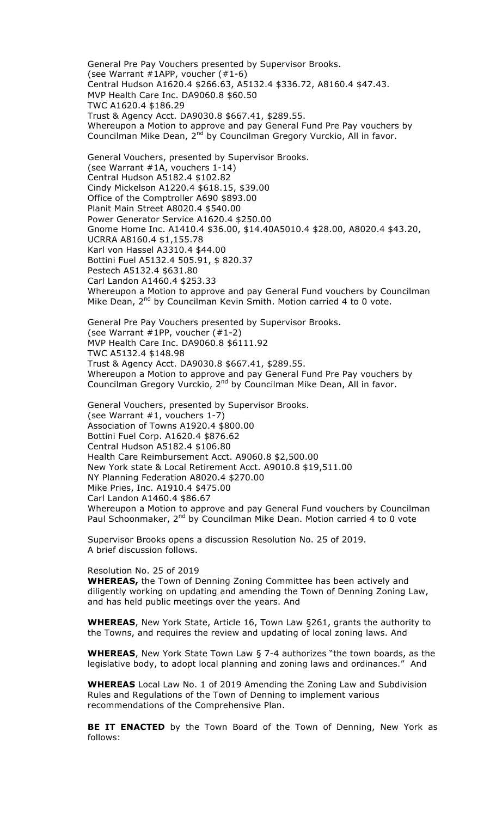General Pre Pay Vouchers presented by Supervisor Brooks. (see Warrant #1APP, voucher (#1-6) Central Hudson A1620.4 \$266.63, A5132.4 \$336.72, A8160.4 \$47.43. MVP Health Care Inc. DA9060.8 \$60.50 TWC A1620.4 \$186.29 Trust & Agency Acct. DA9030.8 \$667.41, \$289.55. Whereupon a Motion to approve and pay General Fund Pre Pay vouchers by Councilman Mike Dean, 2<sup>nd</sup> by Councilman Gregory Vurckio, All in favor.

General Vouchers, presented by Supervisor Brooks. (see Warrant #1A, vouchers 1-14) Central Hudson A5182.4 \$102.82 Cindy Mickelson A1220.4 \$618.15, \$39.00 Office of the Comptroller A690 \$893.00 Planit Main Street A8020.4 \$540.00 Power Generator Service A1620.4 \$250.00 Gnome Home Inc. A1410.4 \$36.00, \$14.40A5010.4 \$28.00, A8020.4 \$43.20, UCRRA A8160.4 \$1,155.78 Karl von Hassel A3310.4 \$44.00 Bottini Fuel A5132.4 505.91, \$ 820.37 Pestech A5132.4 \$631.80 Carl Landon A1460.4 \$253.33 Whereupon a Motion to approve and pay General Fund vouchers by Councilman Mike Dean, 2<sup>nd</sup> by Councilman Kevin Smith. Motion carried 4 to 0 vote.

General Pre Pay Vouchers presented by Supervisor Brooks. (see Warrant #1PP, voucher (#1-2) MVP Health Care Inc. DA9060.8 \$6111.92 TWC A5132.4 \$148.98 Trust & Agency Acct. DA9030.8 \$667.41, \$289.55. Whereupon a Motion to approve and pay General Fund Pre Pay vouchers by Councilman Gregory Vurckio, 2nd by Councilman Mike Dean, All in favor.

General Vouchers, presented by Supervisor Brooks. (see Warrant #1, vouchers 1-7) Association of Towns A1920.4 \$800.00 Bottini Fuel Corp. A1620.4 \$876.62 Central Hudson A5182.4 \$106.80 Health Care Reimbursement Acct. A9060.8 \$2,500.00 New York state & Local Retirement Acct. A9010.8 \$19,511.00 NY Planning Federation A8020.4 \$270.00 Mike Pries, Inc. A1910.4 \$475.00 Carl Landon A1460.4 \$86.67 Whereupon a Motion to approve and pay General Fund vouchers by Councilman Paul Schoonmaker, 2<sup>nd</sup> by Councilman Mike Dean. Motion carried 4 to 0 vote

Supervisor Brooks opens a discussion Resolution No. 25 of 2019. A brief discussion follows.

#### Resolution No. 25 of 2019

**WHEREAS,** the Town of Denning Zoning Committee has been actively and diligently working on updating and amending the Town of Denning Zoning Law, and has held public meetings over the years. And

**WHEREAS**, New York State, Article 16, Town Law §261, grants the authority to the Towns, and requires the review and updating of local zoning laws. And

**WHEREAS**, New York State Town Law § 7-4 authorizes "the town boards, as the legislative body, to adopt local planning and zoning laws and ordinances." And

**WHEREAS** Local Law No. 1 of 2019 Amending the Zoning Law and Subdivision Rules and Regulations of the Town of Denning to implement various recommendations of the Comprehensive Plan.

**BE IT ENACTED** by the Town Board of the Town of Denning, New York as follows: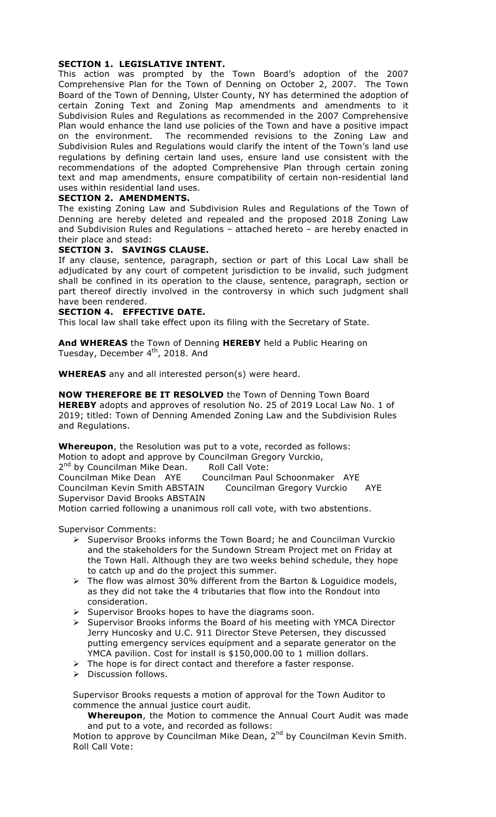## **SECTION 1. LEGISLATIVE INTENT.**

This action was prompted by the Town Board's adoption of the 2007 Comprehensive Plan for the Town of Denning on October 2, 2007. The Town Board of the Town of Denning, Ulster County, NY has determined the adoption of certain Zoning Text and Zoning Map amendments and amendments to it Subdivision Rules and Regulations as recommended in the 2007 Comprehensive Plan would enhance the land use policies of the Town and have a positive impact on the environment. The recommended revisions to the Zoning Law and Subdivision Rules and Regulations would clarify the intent of the Town's land use regulations by defining certain land uses, ensure land use consistent with the recommendations of the adopted Comprehensive Plan through certain zoning text and map amendments, ensure compatibility of certain non-residential land uses within residential land uses.

## **SECTION 2. AMENDMENTS.**

The existing Zoning Law and Subdivision Rules and Regulations of the Town of Denning are hereby deleted and repealed and the proposed 2018 Zoning Law and Subdivision Rules and Regulations – attached hereto – are hereby enacted in their place and stead:

#### **SECTION 3. SAVINGS CLAUSE.**

If any clause, sentence, paragraph, section or part of this Local Law shall be adjudicated by any court of competent jurisdiction to be invalid, such judgment shall be confined in its operation to the clause, sentence, paragraph, section or part thereof directly involved in the controversy in which such judgment shall have been rendered.

#### **SECTION 4. EFFECTIVE DATE.**

This local law shall take effect upon its filing with the Secretary of State.

**And WHEREAS** the Town of Denning **HEREBY** held a Public Hearing on Tuesday, December 4<sup>th</sup>, 2018. And

**WHEREAS** any and all interested person(s) were heard.

**NOW THEREFORE BE IT RESOLVED** the Town of Denning Town Board **HEREBY** adopts and approves of resolution No. 25 of 2019 Local Law No. 1 of 2019; titled: Town of Denning Amended Zoning Law and the Subdivision Rules and Regulations.

**Whereupon**, the Resolution was put to a vote, recorded as follows:

Motion to adopt and approve by Councilman Gregory Vurckio,

2<sup>nd</sup> by Councilman Mike Dean. Roll Call Vote:

Councilman Mike Dean AYE Councilman Paul Schoonmaker AYE Councilman Kevin Smith ABSTAIN Councilman Gregory Vurckio AYE Supervisor David Brooks ABSTAIN

Motion carried following a unanimous roll call vote, with two abstentions.

Supervisor Comments:

- $\triangleright$  Supervisor Brooks informs the Town Board; he and Councilman Vurckio and the stakeholders for the Sundown Stream Project met on Friday at the Town Hall. Although they are two weeks behind schedule, they hope to catch up and do the project this summer.
- $\triangleright$  The flow was almost 30% different from the Barton & Loguidice models, as they did not take the 4 tributaries that flow into the Rondout into consideration.
- $\triangleright$  Supervisor Brooks hopes to have the diagrams soon.
- $\triangleright$  Supervisor Brooks informs the Board of his meeting with YMCA Director Jerry Huncosky and U.C. 911 Director Steve Petersen, they discussed putting emergency services equipment and a separate generator on the YMCA pavilion. Cost for install is \$150,000.00 to 1 million dollars.
- $\triangleright$  The hope is for direct contact and therefore a faster response.
- $\triangleright$  Discussion follows.

Supervisor Brooks requests a motion of approval for the Town Auditor to commence the annual justice court audit.

**Whereupon**, the Motion to commence the Annual Court Audit was made and put to a vote, and recorded as follows:

Motion to approve by Councilman Mike Dean, 2<sup>nd</sup> by Councilman Kevin Smith. Roll Call Vote: